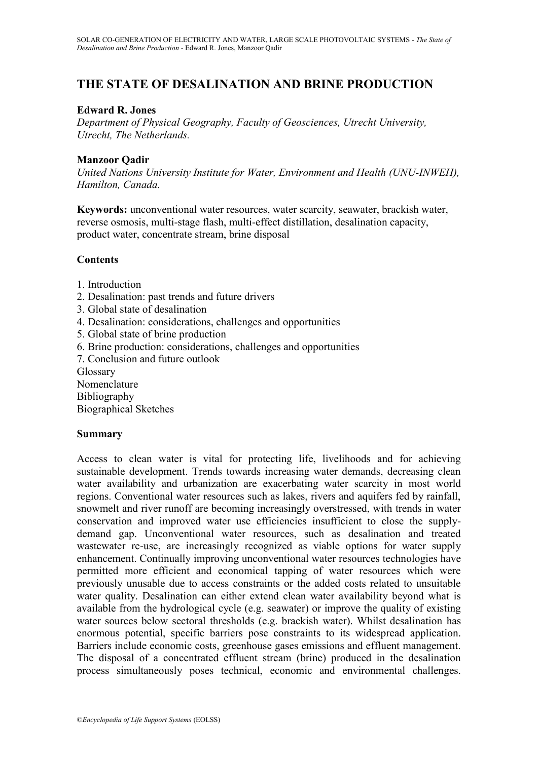# **THE STATE OF DESALINATION AND BRINE PRODUCTION**

### **Edward R. Jones**

*Department of Physical Geography, Faculty of Geosciences, Utrecht University, Utrecht, The Netherlands.*

### **Manzoor Qadir**

*United Nations University Institute for Water, Environment and Health (UNU-INWEH), Hamilton, Canada.*

**Keywords:** unconventional water resources, water scarcity, seawater, brackish water, reverse osmosis, multi-stage flash, multi-effect distillation, desalination capacity, product water, concentrate stream, brine disposal

### **Contents**

- 1. Introduction
- 2. Desalination: past trends and future drivers
- 3. Global state of desalination
- 4. Desalination: considerations, challenges and opportunities
- 5. Global state of brine production
- 6. Brine production: considerations, challenges and opportunities
- 7. Conclusion and future outlook

Glossary

Nomenclature Bibliography

Biographical Sketches

### **Summary**

Access to clean water is vital for protecting life, livelihoods and for achieving sustainable development. Trends towards increasing water demands, decreasing clean water availability and urbanization are exacerbating water scarcity in most world regions. Conventional water resources such as lakes, rivers and aquifers fed by rainfall, snowmelt and river runoff are becoming increasingly overstressed, with trends in water conservation and improved water use efficiencies insufficient to close the supplydemand gap. Unconventional water resources, such as desalination and treated wastewater re-use, are increasingly recognized as viable options for water supply enhancement. Continually improving unconventional water resources technologies have permitted more efficient and economical tapping of water resources which were previously unusable due to access constraints or the added costs related to unsuitable water quality. Desalination can either extend clean water availability beyond what is available from the hydrological cycle (e.g. seawater) or improve the quality of existing water sources below sectoral thresholds (e.g. brackish water). Whilst desalination has enormous potential, specific barriers pose constraints to its widespread application. Barriers include economic costs, greenhouse gases emissions and effluent management. The disposal of a concentrated effluent stream (brine) produced in the desalination process simultaneously poses technical, economic and environmental challenges.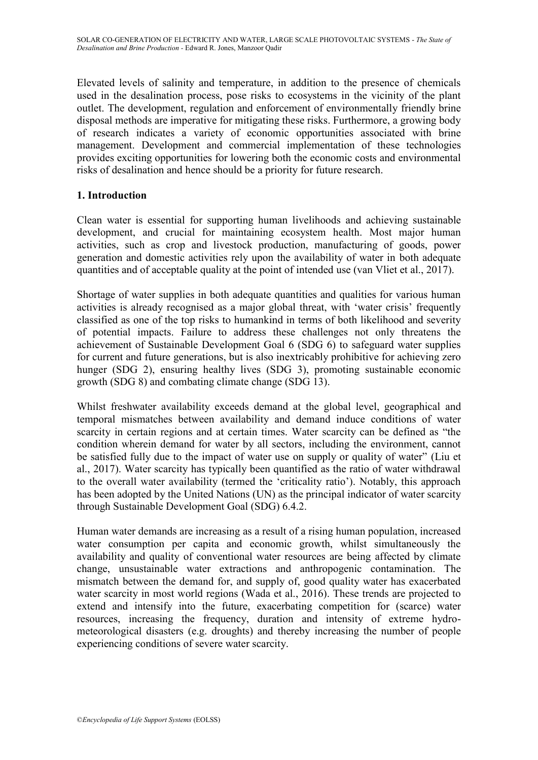Elevated levels of salinity and temperature, in addition to the presence of chemicals used in the desalination process, pose risks to ecosystems in the vicinity of the plant outlet. The development, regulation and enforcement of environmentally friendly brine disposal methods are imperative for mitigating these risks. Furthermore, a growing body of research indicates a variety of economic opportunities associated with brine management. Development and commercial implementation of these technologies provides exciting opportunities for lowering both the economic costs and environmental risks of desalination and hence should be a priority for future research.

## **1. Introduction**

Clean water is essential for supporting human livelihoods and achieving sustainable development, and crucial for maintaining ecosystem health. Most major human activities, such as crop and livestock production, manufacturing of goods, power generation and domestic activities rely upon the availability of water in both adequate quantities and of acceptable quality at the point of intended use (van Vliet et al., 2017).

Shortage of water supplies in both adequate quantities and qualities for various human activities is already recognised as a major global threat, with 'water crisis' frequently classified as one of the top risks to humankind in terms of both likelihood and severity of potential impacts. Failure to address these challenges not only threatens the achievement of Sustainable Development Goal 6 (SDG 6) to safeguard water supplies for current and future generations, but is also inextricably prohibitive for achieving zero hunger (SDG 2), ensuring healthy lives (SDG 3), promoting sustainable economic growth (SDG 8) and combating climate change (SDG 13).

Whilst freshwater availability exceeds demand at the global level, geographical and temporal mismatches between availability and demand induce conditions of water scarcity in certain regions and at certain times. Water scarcity can be defined as "the condition wherein demand for water by all sectors, including the environment, cannot be satisfied fully due to the impact of water use on supply or quality of water" (Liu et al., 2017). Water scarcity has typically been quantified as the ratio of water withdrawal to the overall water availability (termed the "criticality ratio"). Notably, this approach has been adopted by the United Nations (UN) as the principal indicator of water scarcity through Sustainable Development Goal (SDG) 6.4.2.

Human water demands are increasing as a result of a rising human population, increased water consumption per capita and economic growth, whilst simultaneously the availability and quality of conventional water resources are being affected by climate change, unsustainable water extractions and anthropogenic contamination. The mismatch between the demand for, and supply of, good quality water has exacerbated water scarcity in most world regions (Wada et al., 2016). These trends are projected to extend and intensify into the future, exacerbating competition for (scarce) water resources, increasing the frequency, duration and intensity of extreme hydrometeorological disasters (e.g. droughts) and thereby increasing the number of people experiencing conditions of severe water scarcity.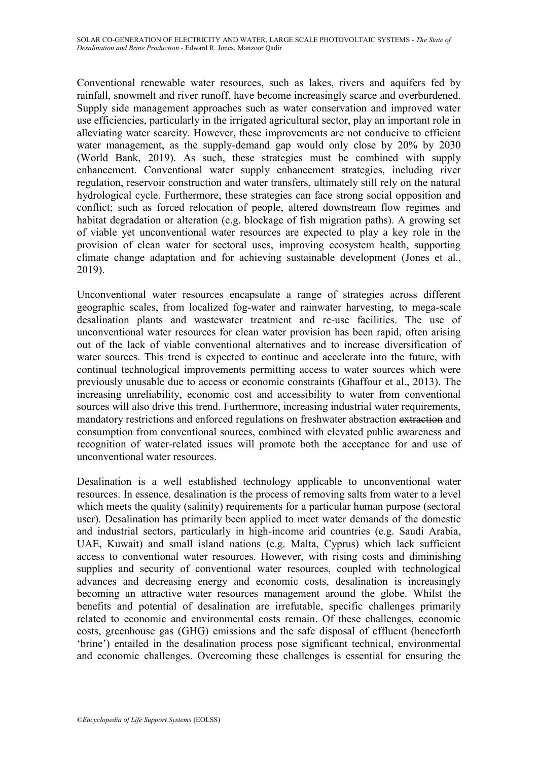Conventional renewable water resources, such as lakes, rivers and aquifers fed by rainfall, snowmelt and river runoff, have become increasingly scarce and overburdened. Supply side management approaches such as water conservation and improved water use efficiencies, particularly in the irrigated agricultural sector, play an important role in alleviating water scarcity. However, these improvements are not conducive to efficient water management, as the supply-demand gap would only close by 20% by 2030 (World Bank, 2019). As such, these strategies must be combined with supply enhancement. Conventional water supply enhancement strategies, including river regulation, reservoir construction and water transfers, ultimately still rely on the natural hydrological cycle. Furthermore, these strategies can face strong social opposition and conflict; such as forced relocation of people, altered downstream flow regimes and habitat degradation or alteration (e.g. blockage of fish migration paths). A growing set of viable yet unconventional water resources are expected to play a key role in the provision of clean water for sectoral uses, improving ecosystem health, supporting climate change adaptation and for achieving sustainable development (Jones et al., 2019).

Unconventional water resources encapsulate a range of strategies across different geographic scales, from localized fog-water and rainwater harvesting, to mega-scale desalination plants and wastewater treatment and re-use facilities. The use of unconventional water resources for clean water provision has been rapid, often arising out of the lack of viable conventional alternatives and to increase diversification of water sources. This trend is expected to continue and accelerate into the future, with continual technological improvements permitting access to water sources which were previously unusable due to access or economic constraints (Ghaffour et al., 2013). The increasing unreliability, economic cost and accessibility to water from conventional sources will also drive this trend. Furthermore, increasing industrial water requirements, mandatory restrictions and enforced regulations on freshwater abstraction extraction and consumption from conventional sources, combined with elevated public awareness and recognition of water-related issues will promote both the acceptance for and use of unconventional water resources.

Desalination is a well established technology applicable to unconventional water resources. In essence, desalination is the process of removing salts from water to a level which meets the quality (salinity) requirements for a particular human purpose (sectoral user). Desalination has primarily been applied to meet water demands of the domestic and industrial sectors, particularly in high-income arid countries (e.g. Saudi Arabia, UAE, Kuwait) and small island nations (e.g. Malta, Cyprus) which lack sufficient access to conventional water resources. However, with rising costs and diminishing supplies and security of conventional water resources, coupled with technological advances and decreasing energy and economic costs, desalination is increasingly becoming an attractive water resources management around the globe. Whilst the benefits and potential of desalination are irrefutable, specific challenges primarily related to economic and environmental costs remain. Of these challenges, economic costs, greenhouse gas (GHG) emissions and the safe disposal of effluent (henceforth "brine") entailed in the desalination process pose significant technical, environmental and economic challenges. Overcoming these challenges is essential for ensuring the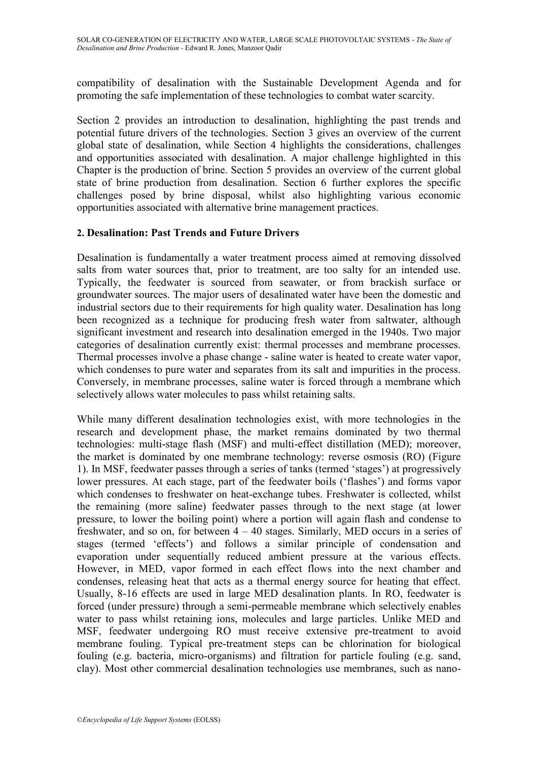compatibility of desalination with the Sustainable Development Agenda and for promoting the safe implementation of these technologies to combat water scarcity.

Section 2 provides an introduction to desalination, highlighting the past trends and potential future drivers of the technologies. Section 3 gives an overview of the current global state of desalination, while Section 4 highlights the considerations, challenges and opportunities associated with desalination. A major challenge highlighted in this Chapter is the production of brine. Section 5 provides an overview of the current global state of brine production from desalination. Section 6 further explores the specific challenges posed by brine disposal, whilst also highlighting various economic opportunities associated with alternative brine management practices.

## **2. Desalination: Past Trends and Future Drivers**

Desalination is fundamentally a water treatment process aimed at removing dissolved salts from water sources that, prior to treatment, are too salty for an intended use. Typically, the feedwater is sourced from seawater, or from brackish surface or groundwater sources. The major users of desalinated water have been the domestic and industrial sectors due to their requirements for high quality water. Desalination has long been recognized as a technique for producing fresh water from saltwater, although significant investment and research into desalination emerged in the 1940s. Two major categories of desalination currently exist: thermal processes and membrane processes. Thermal processes involve a phase change - saline water is heated to create water vapor, which condenses to pure water and separates from its salt and impurities in the process. Conversely, in membrane processes, saline water is forced through a membrane which selectively allows water molecules to pass whilst retaining salts.

While many different desalination technologies exist, with more technologies in the research and development phase, the market remains dominated by two thermal technologies: multi-stage flash (MSF) and multi-effect distillation (MED); moreover, the market is dominated by one membrane technology: reverse osmosis (RO) (Figure 1). In MSF, feedwater passes through a series of tanks (termed "stages") at progressively lower pressures. At each stage, part of the feedwater boils ('flashes') and forms vapor which condenses to freshwater on heat-exchange tubes. Freshwater is collected, whilst the remaining (more saline) feedwater passes through to the next stage (at lower pressure, to lower the boiling point) where a portion will again flash and condense to freshwater, and so on, for between  $4 - 40$  stages. Similarly, MED occurs in a series of stages (termed "effects") and follows a similar principle of condensation and evaporation under sequentially reduced ambient pressure at the various effects. However, in MED, vapor formed in each effect flows into the next chamber and condenses, releasing heat that acts as a thermal energy source for heating that effect. Usually, 8-16 effects are used in large MED desalination plants. In RO, feedwater is forced (under pressure) through a semi-permeable membrane which selectively enables water to pass whilst retaining ions, molecules and large particles. Unlike MED and MSF, feedwater undergoing RO must receive extensive pre-treatment to avoid membrane fouling. Typical pre-treatment steps can be chlorination for biological fouling (e.g. bacteria, micro-organisms) and filtration for particle fouling (e.g. sand, clay). Most other commercial desalination technologies use membranes, such as nano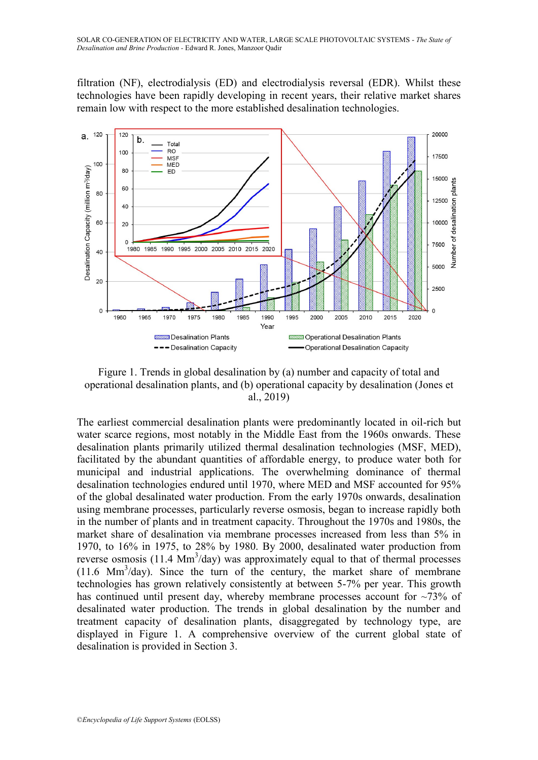filtration (NF), electrodialysis (ED) and electrodialysis reversal (EDR). Whilst these technologies have been rapidly developing in recent years, their relative market shares remain low with respect to the more established desalination technologies.



Figure 1. Trends in global desalination by (a) number and capacity of total and operational desalination plants, and (b) operational capacity by desalination (Jones et al., 2019)

The earliest commercial desalination plants were predominantly located in oil-rich but water scarce regions, most notably in the Middle East from the 1960s onwards. These desalination plants primarily utilized thermal desalination technologies (MSF, MED), facilitated by the abundant quantities of affordable energy, to produce water both for municipal and industrial applications. The overwhelming dominance of thermal desalination technologies endured until 1970, where MED and MSF accounted for 95% of the global desalinated water production. From the early 1970s onwards, desalination using membrane processes, particularly reverse osmosis, began to increase rapidly both in the number of plants and in treatment capacity. Throughout the 1970s and 1980s, the market share of desalination via membrane processes increased from less than 5% in 1970, to 16% in 1975, to 28% by 1980. By 2000, desalinated water production from reverse osmosis  $(11.4 \text{ Mm}^3/\text{day})$  was approximately equal to that of thermal processes (11.6 Mm 3 /day). Since the turn of the century, the market share of membrane technologies has grown relatively consistently at between 5-7% per year. This growth has continued until present day, whereby membrane processes account for  $\sim$ 73% of desalinated water production. The trends in global desalination by the number and treatment capacity of desalination plants, disaggregated by technology type, are displayed in Figure 1. A comprehensive overview of the current global state of desalination is provided in Section 3.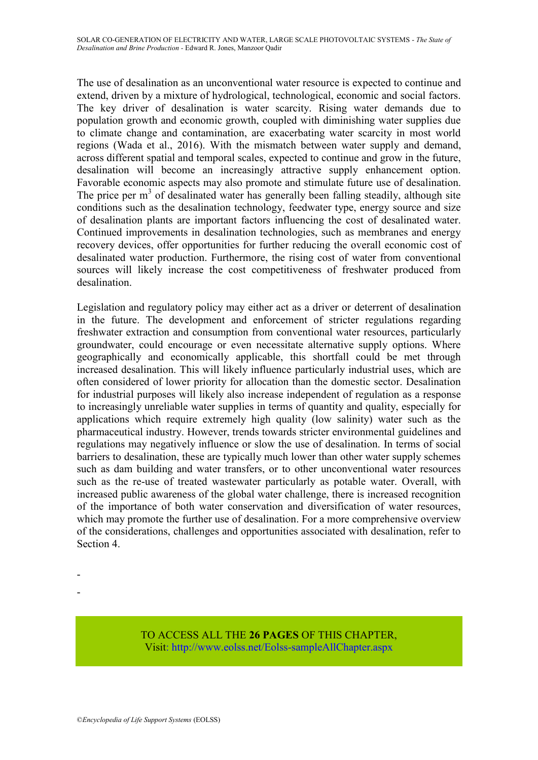The use of desalination as an unconventional water resource is expected to continue and extend, driven by a mixture of hydrological, technological, economic and social factors. The key driver of desalination is water scarcity. Rising water demands due to population growth and economic growth, coupled with diminishing water supplies due to climate change and contamination, are exacerbating water scarcity in most world regions (Wada et al., 2016). With the mismatch between water supply and demand, across different spatial and temporal scales, expected to continue and grow in the future, desalination will become an increasingly attractive supply enhancement option. Favorable economic aspects may also promote and stimulate future use of desalination. The price per  $m<sup>3</sup>$  of desalinated water has generally been falling steadily, although site conditions such as the desalination technology, feedwater type, energy source and size of desalination plants are important factors influencing the cost of desalinated water. Continued improvements in desalination technologies, such as membranes and energy recovery devices, offer opportunities for further reducing the overall economic cost of desalinated water production. Furthermore, the rising cost of water from conventional sources will likely increase the cost competitiveness of freshwater produced from desalination.

Legislation and regulatory policy may either act as a driver or deterrent of desalination in the future. The development and enforcement of stricter regulations regarding freshwater extraction and consumption from conventional water resources, particularly groundwater, could encourage or even necessitate alternative supply options. Where geographically and economically applicable, this shortfall could be met through increased desalination. This will likely influence particularly industrial uses, which are often considered of lower priority for allocation than the domestic sector. Desalination for industrial purposes will likely also increase independent of regulation as a response to increasingly unreliable water supplies in terms of quantity and quality, especially for applications which require extremely high quality (low salinity) water such as the pharmaceutical industry. However, trends towards stricter environmental guidelines and regulations may negatively influence or slow the use of desalination. In terms of social barriers to desalination, these are typically much lower than other water supply schemes such as dam building and water transfers, or to other unconventional water resources such as the re-use of treated wastewater particularly as potable water. Overall, with increased public awareness of the global water challenge, there is increased recognition of the importance of both water conservation and diversification of water resources, which may promote the further use of desalination. For a more comprehensive overview of the considerations, challenges and opportunities associated with desalination, refer to Section 4.

- -

> TO ACCESS ALL THE **26 PAGES** OF THIS CHAPTER, Visit[: http://www.eolss.net/Eolss-sampleAllChapter.aspx](https://www.eolss.net/ebooklib/sc_cart.aspx?File=E6-107-17)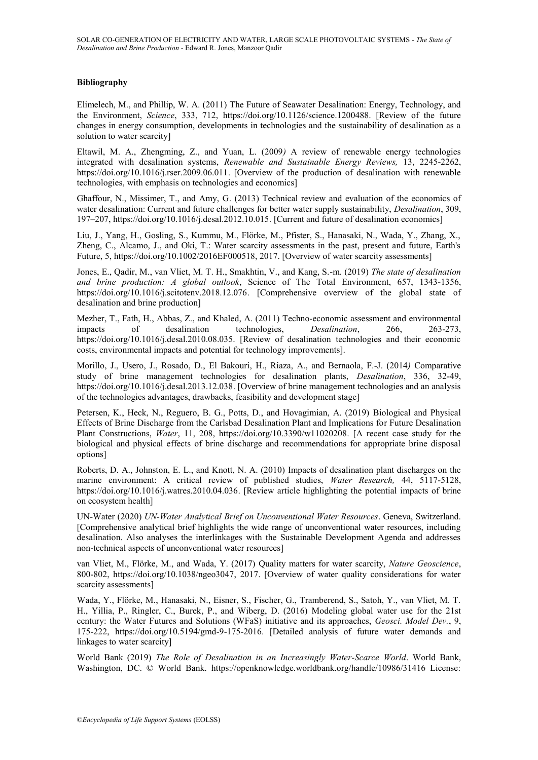#### **Bibliography**

Elimelech, M., and Phillip, W. A. (2011) The Future of Seawater Desalination: Energy, Technology, and the Environment, *Science*, 333, 712, https://doi.org/10.1126/science.1200488. [Review of the future changes in energy consumption, developments in technologies and the sustainability of desalination as a solution to water scarcity]

Eltawil, M. A., Zhengming, Z., and Yuan, L. (2009*)* A review of renewable energy technologies integrated with desalination systems, *Renewable and Sustainable Energy Reviews,* 13, 2245-2262, https://doi.org/10.1016/j.rser.2009.06.011. [Overview of the production of desalination with renewable technologies, with emphasis on technologies and economics]

Ghaffour, N., Missimer, T., and Amy, G. (2013) Technical review and evaluation of the economics of water desalination: Current and future challenges for better water supply sustainability, *Desalination*, 309, 197–207, https://doi.org/10.1016/j.desal.2012.10.015. [Current and future of desalination economics]

Liu, J., Yang, H., Gosling, S., Kummu, M., Flörke, M., Pfister, S., Hanasaki, N., Wada, Y., Zhang, X., Zheng, C., Alcamo, J., and Oki, T.: Water scarcity assessments in the past, present and future, Earth's Future, 5, https://doi.org/10.1002/2016EF000518, 2017. [Overview of water scarcity assessments]

Jones, E., Qadir, M., van Vliet, M. T. H., Smakhtin, V., and Kang, S.-m. (2019) *The state of desalination and brine production: A global outlook*, Science of The Total Environment, 657, 1343-1356, https://doi.org/10.1016/j.scitotenv.2018.12.076. [Comprehensive overview of the global state of desalination and brine production]

Mezher, T., Fath, H., Abbas, Z., and Khaled, A. (2011) Techno-economic assessment and environmental impacts of desalination technologies, *Desalination*, 266, 263-273, https://doi.org/10.1016/j.desal.2010.08.035. [Review of desalination technologies and their economic costs, environmental impacts and potential for technology improvements].

Morillo, J., Usero, J., Rosado, D., El Bakouri, H., Riaza, A., and Bernaola, F.-J. (2014*)* Comparative study of brine management technologies for desalination plants, *Desalination*, 336, 32-49, https://doi.org/10.1016/j.desal.2013.12.038. [Overview of brine management technologies and an analysis of the technologies advantages, drawbacks, feasibility and development stage]

Petersen, K., Heck, N., Reguero, B. G., Potts, D., and Hovagimian, A. (2019) Biological and Physical Effects of Brine Discharge from the Carlsbad Desalination Plant and Implications for Future Desalination Plant Constructions, *Water*, 11, 208, https://doi.org/10.3390/w11020208. [A recent case study for the biological and physical effects of brine discharge and recommendations for appropriate brine disposal options]

Roberts, D. A., Johnston, E. L., and Knott, N. A. (2010) Impacts of desalination plant discharges on the marine environment: A critical review of published studies, *Water Research,* 44, 5117-5128, https://doi.org/10.1016/j.watres.2010.04.036. [Review article highlighting the potential impacts of brine on ecosystem health]

UN-Water (2020) *UN-Water Analytical Brief on Unconventional Water Resources*. Geneva, Switzerland. [Comprehensive analytical brief highlights the wide range of unconventional water resources, including desalination. Also analyses the interlinkages with the Sustainable Development Agenda and addresses non-technical aspects of unconventional water resources]

van Vliet, M., Flörke, M., and Wada, Y. (2017) Quality matters for water scarcity, *Nature Geoscience*, 800-802, https://doi.org/10.1038/ngeo3047, 2017. [Overview of water quality considerations for water scarcity assessments]

Wada, Y., Flörke, M., Hanasaki, N., Eisner, S., Fischer, G., Tramberend, S., Satoh, Y., van Vliet, M. T. H., Yillia, P., Ringler, C., Burek, P., and Wiberg, D. (2016) Modeling global water use for the 21st century: the Water Futures and Solutions (WFaS) initiative and its approaches, *Geosci. Model Dev.*, 9, 175-222, https://doi.org/10.5194/gmd-9-175-2016. [Detailed analysis of future water demands and linkages to water scarcity]

World Bank (2019) *The Role of Desalination in an Increasingly Water-Scarce World*. World Bank, Washington, DC. © World Bank. https://openknowledge.worldbank.org/handle/10986/31416 License: